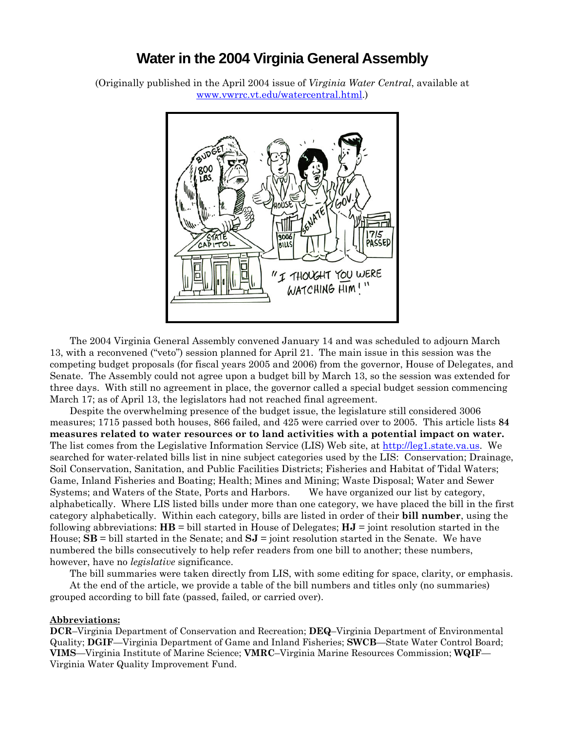## **Water in the 2004 Virginia General Assembly**

(Originally published in the April 2004 issue of *Virginia Water Central*, available at [www.vwrrc.vt.edu/watercentral.html.](http://www.vwrrc.vt.edu/watercentral.html))



The 2004 Virginia General Assembly convened January 14 and was scheduled to adjourn March 13, with a reconvened ("veto") session planned for April 21. The main issue in this session was the competing budget proposals (for fiscal years 2005 and 2006) from the governor, House of Delegates, and Senate. The Assembly could not agree upon a budget bill by March 13, so the session was extended for three days. With still no agreement in place, the governor called a special budget session commencing March 17; as of April 13, the legislators had not reached final agreement.

Despite the overwhelming presence of the budget issue, the legislature still considered 3006 measures; 1715 passed both houses, 866 failed, and 425 were carried over to 2005. This article lists **84 measures related to water resources or to land activities with a potential impact on water.** The list comes from the Legislative Information Service (LIS) Web site, at [http://leg1.state.va.us.](http://leg1.state.va.us/) We searched for water-related bills list in nine subject categories used by the LIS: Conservation; Drainage, Soil Conservation, Sanitation, and Public Facilities Districts; Fisheries and Habitat of Tidal Waters; Game, Inland Fisheries and Boating; Health; Mines and Mining; Waste Disposal; Water and Sewer Systems; and Waters of the State, Ports and Harbors. We have organized our list by category, alphabetically. Where LIS listed bills under more than one category, we have placed the bill in the first category alphabetically. Within each category, bills are listed in order of their **bill number**, using the following abbreviations: **HB** = bill started in House of Delegates; **HJ** = joint resolution started in the House; **SB** = bill started in the Senate; and **SJ** = joint resolution started in the Senate. We have numbered the bills consecutively to help refer readers from one bill to another; these numbers, however, have no *legislative* significance.

The bill summaries were taken directly from LIS, with some editing for space, clarity, or emphasis.

 At the end of the article, we provide a table of the bill numbers and titles only (no summaries) grouped according to bill fate (passed, failed, or carried over).

#### **Abbreviations:**

**DCR**–Virginia Department of Conservation and Recreation; **DEQ**–Virginia Department of Environmental Quality; **DGIF**—Virginia Department of Game and Inland Fisheries; **SWCB**—State Water Control Board; **VIMS**—Virginia Institute of Marine Science; **VMRC**–Virginia Marine Resources Commission; **WQIF**— Virginia Water Quality Improvement Fund.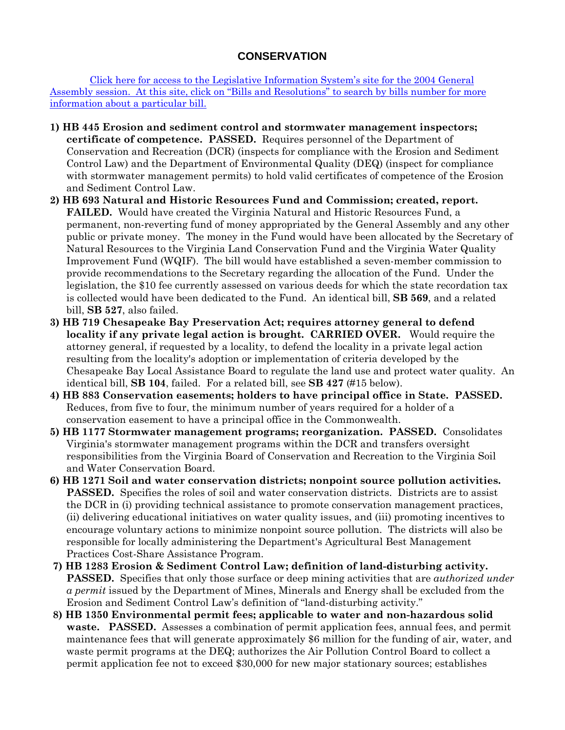### **CONSERVATION**

 [Click here for access to the Legislative Information System's site for the 2004 General](http://leg1.state.va.us/041/lis.htm)  [Assembly session. At this site, click on "Bills and Resolutions" to search by bills number for more](http://leg1.state.va.us/041/lis.htm)  [information about a particular bill.](http://leg1.state.va.us/041/lis.htm)

- **1) HB 445 Erosion and sediment control and stormwater management inspectors; certificate of competence. PASSED.** Requires personnel of the Department of Conservation and Recreation (DCR) (inspects for compliance with the Erosion and Sediment Control Law) and the Department of Environmental Quality (DEQ) (inspect for compliance with stormwater management permits) to hold valid certificates of competence of the Erosion and Sediment Control Law.
- **2) HB 693 Natural and Historic Resources Fund and Commission; created, report. FAILED.** Would have created the Virginia Natural and Historic Resources Fund, a permanent, non-reverting fund of money appropriated by the General Assembly and any other public or private money. The money in the Fund would have been allocated by the Secretary of Natural Resources to the Virginia Land Conservation Fund and the Virginia Water Quality Improvement Fund (WQIF). The bill would have established a seven-member commission to provide recommendations to the Secretary regarding the allocation of the Fund. Under the legislation, the \$10 fee currently assessed on various deeds for which the state recordation tax is collected would have been dedicated to the Fund. An identical bill, **SB 569**, and a related bill, **SB 527**, also failed.
- **3) HB 719 Chesapeake Bay Preservation Act; requires attorney general to defend locality if any private legal action is brought. CARRIED OVER.** Would require the attorney general, if requested by a locality, to defend the locality in a private legal action resulting from the locality's adoption or implementation of criteria developed by the Chesapeake Bay Local Assistance Board to regulate the land use and protect water quality. An identical bill, **SB 104**, failed. For a related bill, see **SB 427** (#15 below).
- **4) HB 883 Conservation easements; holders to have principal office in State. PASSED.**  Reduces, from five to four, the minimum number of years required for a holder of a conservation easement to have a principal office in the Commonwealth.
- **5) HB 1177 Stormwater management programs; reorganization. PASSED.** Consolidates Virginia's stormwater management programs within the DCR and transfers oversight responsibilities from the Virginia Board of Conservation and Recreation to the Virginia Soil and Water Conservation Board.
- **6) HB 1271 Soil and water conservation districts; nonpoint source pollution activities. PASSED.** Specifies the roles of soil and water conservation districts. Districts are to assist the DCR in (i) providing technical assistance to promote conservation management practices, (ii) delivering educational initiatives on water quality issues, and (iii) promoting incentives to encourage voluntary actions to minimize nonpoint source pollution. The districts will also be responsible for locally administering the Department's Agricultural Best Management Practices Cost-Share Assistance Program.
- **7) HB 1283 Erosion & Sediment Control Law; definition of land-disturbing activity. PASSED.** Specifies that only those surface or deep mining activities that are *authorized under a permit* issued by the Department of Mines, Minerals and Energy shall be excluded from the Erosion and Sediment Control Law's definition of "land-disturbing activity."
- **8) HB 1350 Environmental permit fees; applicable to water and non-hazardous solid waste. PASSED.** Assesses a combination of permit application fees, annual fees, and permit maintenance fees that will generate approximately \$6 million for the funding of air, water, and waste permit programs at the DEQ; authorizes the Air Pollution Control Board to collect a permit application fee not to exceed \$30,000 for new major stationary sources; establishes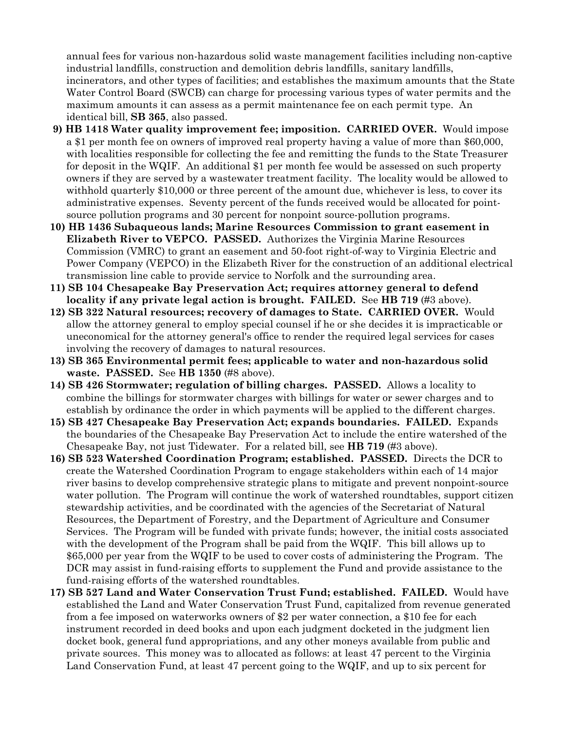annual fees for various non-hazardous solid waste management facilities including non-captive industrial landfills, construction and demolition debris landfills, sanitary landfills, incinerators, and other types of facilities; and establishes the maximum amounts that the State Water Control Board (SWCB) can charge for processing various types of water permits and the maximum amounts it can assess as a permit maintenance fee on each permit type. An identical bill, **SB 365**, also passed.

- **9) HB 1418 Water quality improvement fee; imposition. CARRIED OVER.** Would impose a \$1 per month fee on owners of improved real property having a value of more than \$60,000, with localities responsible for collecting the fee and remitting the funds to the State Treasurer for deposit in the WQIF. An additional \$1 per month fee would be assessed on such property owners if they are served by a wastewater treatment facility. The locality would be allowed to withhold quarterly \$10,000 or three percent of the amount due, whichever is less, to cover its administrative expenses. Seventy percent of the funds received would be allocated for pointsource pollution programs and 30 percent for nonpoint source-pollution programs.
- **10) HB 1436 Subaqueous lands; Marine Resources Commission to grant easement in Elizabeth River to VEPCO. PASSED.** Authorizes the Virginia Marine Resources Commission (VMRC) to grant an easement and 50-foot right-of-way to Virginia Electric and Power Company (VEPCO) in the Elizabeth River for the construction of an additional electrical transmission line cable to provide service to Norfolk and the surrounding area.
- **11) SB 104 Chesapeake Bay Preservation Act; requires attorney general to defend locality if any private legal action is brought. FAILED.** See **HB 719** (#3 above).
- **12) SB 322 Natural resources; recovery of damages to State. CARRIED OVER.** Would allow the attorney general to employ special counsel if he or she decides it is impracticable or uneconomical for the attorney general's office to render the required legal services for cases involving the recovery of damages to natural resources.
- **13) SB 365 Environmental permit fees; applicable to water and non-hazardous solid waste. PASSED.** See **HB 1350** (#8 above).
- **14) SB 426 Stormwater; regulation of billing charges. PASSED.** Allows a locality to combine the billings for stormwater charges with billings for water or sewer charges and to establish by ordinance the order in which payments will be applied to the different charges.
- **15) SB 427 Chesapeake Bay Preservation Act; expands boundaries. FAILED.** Expands the boundaries of the Chesapeake Bay Preservation Act to include the entire watershed of the Chesapeake Bay, not just Tidewater. For a related bill, see **HB 719** (#3 above).
- **16) SB 523 Watershed Coordination Program; established. PASSED.** Directs the DCR to create the Watershed Coordination Program to engage stakeholders within each of 14 major river basins to develop comprehensive strategic plans to mitigate and prevent nonpoint-source water pollution. The Program will continue the work of watershed roundtables, support citizen stewardship activities, and be coordinated with the agencies of the Secretariat of Natural Resources, the Department of Forestry, and the Department of Agriculture and Consumer Services. The Program will be funded with private funds; however, the initial costs associated with the development of the Program shall be paid from the WQIF. This bill allows up to \$65,000 per year from the WQIF to be used to cover costs of administering the Program. The DCR may assist in fund-raising efforts to supplement the Fund and provide assistance to the fund-raising efforts of the watershed roundtables.
- **17) SB 527 Land and Water Conservation Trust Fund; established. FAILED.** Would have established the Land and Water Conservation Trust Fund, capitalized from revenue generated from a fee imposed on waterworks owners of \$2 per water connection, a \$10 fee for each instrument recorded in deed books and upon each judgment docketed in the judgment lien docket book, general fund appropriations, and any other moneys available from public and private sources. This money was to allocated as follows: at least 47 percent to the Virginia Land Conservation Fund, at least 47 percent going to the WQIF, and up to six percent for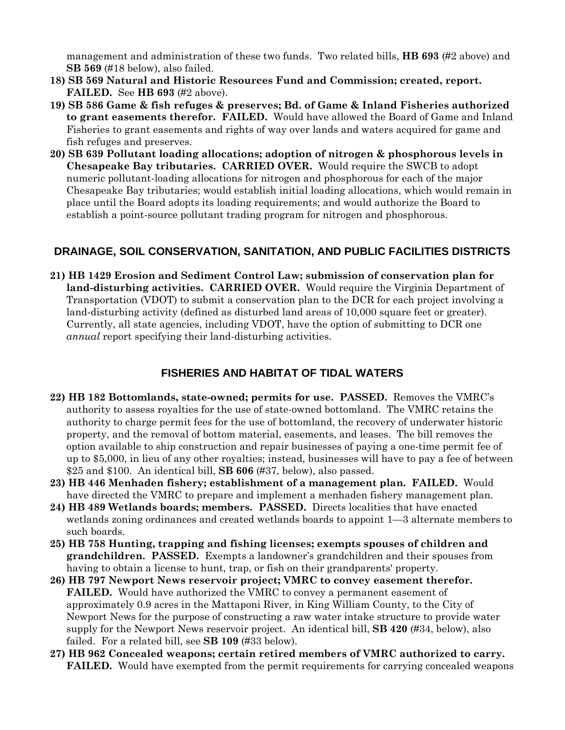management and administration of these two funds. Two related bills, **HB 693** (#2 above) and **SB 569** (#18 below), also failed.

- **18) SB 569 Natural and Historic Resources Fund and Commission; created, report. FAILED.** See **HB 693** (#2 above).
- **19) SB 586 Game & fish refuges & preserves; Bd. of Game & Inland Fisheries authorized to grant easements therefor. FAILED.** Would have allowed the Board of Game and Inland Fisheries to grant easements and rights of way over lands and waters acquired for game and fish refuges and preserves.
- **20) SB 639 Pollutant loading allocations; adoption of nitrogen & phosphorous levels in Chesapeake Bay tributaries. CARRIED OVER.** Would require the SWCB to adopt numeric pollutant-loading allocations for nitrogen and phosphorous for each of the major Chesapeake Bay tributaries; would establish initial loading allocations, which would remain in place until the Board adopts its loading requirements; and would authorize the Board to establish a point-source pollutant trading program for nitrogen and phosphorous.

### **DRAINAGE, SOIL CONSERVATION, SANITATION, AND PUBLIC FACILITIES DISTRICTS**

**21) HB 1429 Erosion and Sediment Control Law; submission of conservation plan for land-disturbing activities. CARRIED OVER.** Would require the Virginia Department of Transportation (VDOT) to submit a conservation plan to the DCR for each project involving a land-disturbing activity (defined as disturbed land areas of 10,000 square feet or greater). Currently, all state agencies, including VDOT, have the option of submitting to DCR one *annual* report specifying their land-disturbing activities.

### **FISHERIES AND HABITAT OF TIDAL WATERS**

- **22) HB 182 Bottomlands, state-owned; permits for use. PASSED.** Removes the VMRC's authority to assess royalties for the use of state-owned bottomland. The VMRC retains the authority to charge permit fees for the use of bottomland, the recovery of underwater historic property, and the removal of bottom material, easements, and leases. The bill removes the option available to ship construction and repair businesses of paying a one-time permit fee of up to \$5,000, in lieu of any other royalties; instead, businesses will have to pay a fee of between \$25 and \$100. An identical bill, **SB 606** (#37, below), also passed.
- **23) HB 446 Menhaden fishery; establishment of a management plan. FAILED.** Would have directed the VMRC to prepare and implement a menhaden fishery management plan.
- **24) HB 489 Wetlands boards; members. PASSED.** Directs localities that have enacted wetlands zoning ordinances and created wetlands boards to appoint 1—3 alternate members to such boards.
- **25) HB 758 Hunting, trapping and fishing licenses; exempts spouses of children and grandchildren. PASSED.** Exempts a landowner's grandchildren and their spouses from having to obtain a license to hunt, trap, or fish on their grandparents' property.
- **26) HB 797 Newport News reservoir project; VMRC to convey easement therefor. FAILED.** Would have authorized the VMRC to convey a permanent easement of approximately 0.9 acres in the Mattaponi River, in King William County, to the City of Newport News for the purpose of constructing a raw water intake structure to provide water supply for the Newport News reservoir project. An identical bill, **SB 420** (#34, below), also failed. For a related bill, see **SB 109** (#33 below).
- **27) HB 962 Concealed weapons; certain retired members of VMRC authorized to carry. FAILED.** Would have exempted from the permit requirements for carrying concealed weapons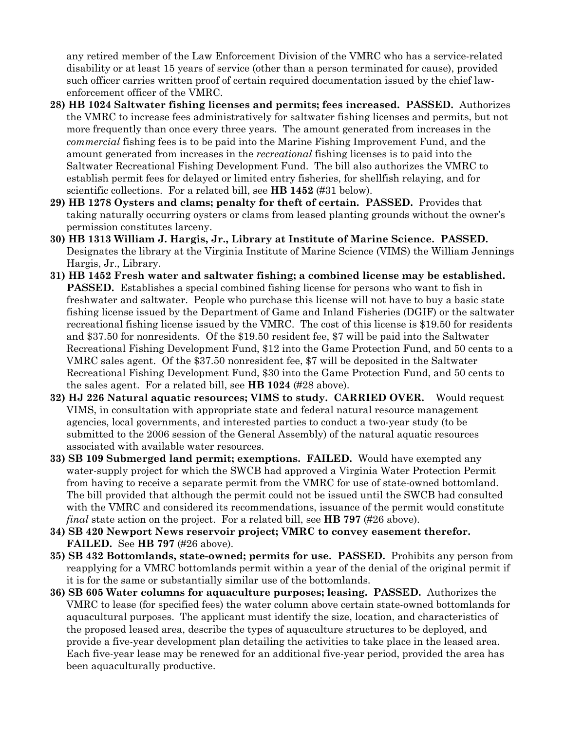any retired member of the Law Enforcement Division of the VMRC who has a service-related disability or at least 15 years of service (other than a person terminated for cause), provided such officer carries written proof of certain required documentation issued by the chief lawenforcement officer of the VMRC.

- **28) HB 1024 Saltwater fishing licenses and permits; fees increased. PASSED.** Authorizes the VMRC to increase fees administratively for saltwater fishing licenses and permits, but not more frequently than once every three years. The amount generated from increases in the *commercial* fishing fees is to be paid into the Marine Fishing Improvement Fund, and the amount generated from increases in the *recreational* fishing licenses is to paid into the Saltwater Recreational Fishing Development Fund. The bill also authorizes the VMRC to establish permit fees for delayed or limited entry fisheries, for shellfish relaying, and for scientific collections. For a related bill, see **HB 1452** (#31 below).
- **29) HB 1278 Oysters and clams; penalty for theft of certain. PASSED.** Provides that taking naturally occurring oysters or clams from leased planting grounds without the owner's permission constitutes larceny.
- **30) HB 1313 William J. Hargis, Jr., Library at Institute of Marine Science. PASSED.**  Designates the library at the Virginia Institute of Marine Science (VIMS) the William Jennings Hargis, Jr., Library.
- **31) HB 1452 Fresh water and saltwater fishing; a combined license may be established. PASSED.** Establishes a special combined fishing license for persons who want to fish in freshwater and saltwater. People who purchase this license will not have to buy a basic state fishing license issued by the Department of Game and Inland Fisheries (DGIF) or the saltwater recreational fishing license issued by the VMRC. The cost of this license is \$19.50 for residents and \$37.50 for nonresidents. Of the \$19.50 resident fee, \$7 will be paid into the Saltwater Recreational Fishing Development Fund, \$12 into the Game Protection Fund, and 50 cents to a VMRC sales agent. Of the \$37.50 nonresident fee, \$7 will be deposited in the Saltwater Recreational Fishing Development Fund, \$30 into the Game Protection Fund, and 50 cents to the sales agent. For a related bill, see **HB 1024** (#28 above).
- **32) HJ 226 Natural aquatic resources; VIMS to study. CARRIED OVER.** Would request VIMS, in consultation with appropriate state and federal natural resource management agencies, local governments, and interested parties to conduct a two-year study (to be submitted to the 2006 session of the General Assembly) of the natural aquatic resources associated with available water resources.
- **33) SB 109 Submerged land permit; exemptions. FAILED.** Would have exempted any water-supply project for which the SWCB had approved a Virginia Water Protection Permit from having to receive a separate permit from the VMRC for use of state-owned bottomland. The bill provided that although the permit could not be issued until the SWCB had consulted with the VMRC and considered its recommendations, issuance of the permit would constitute *final* state action on the project. For a related bill, see **HB 797** (#26 above).
- **34) SB 420 Newport News reservoir project; VMRC to convey easement therefor. FAILED.** See **HB 797** (#26 above).
- **35) SB 432 Bottomlands, state-owned; permits for use. PASSED.** Prohibits any person from reapplying for a VMRC bottomlands permit within a year of the denial of the original permit if it is for the same or substantially similar use of the bottomlands.
- **36) SB 605 Water columns for aquaculture purposes; leasing. PASSED.** Authorizes the VMRC to lease (for specified fees) the water column above certain state-owned bottomlands for aquacultural purposes. The applicant must identify the size, location, and characteristics of the proposed leased area, describe the types of aquaculture structures to be deployed, and provide a five-year development plan detailing the activities to take place in the leased area. Each five-year lease may be renewed for an additional five-year period, provided the area has been aquaculturally productive.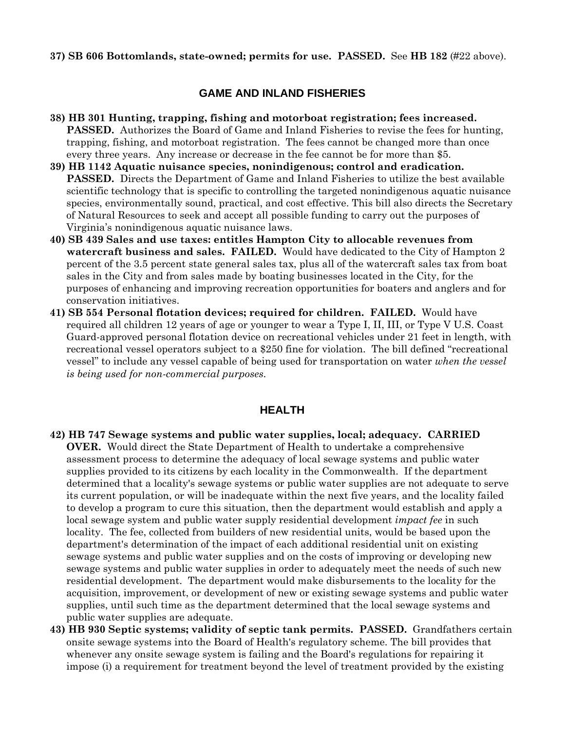**37) SB 606 Bottomlands, state-owned; permits for use. PASSED.** See **HB 182** (#22 above).

### **GAME AND INLAND FISHERIES**

- **38) HB 301 Hunting, trapping, fishing and motorboat registration; fees increased. PASSED.** Authorizes the Board of Game and Inland Fisheries to revise the fees for hunting, trapping, fishing, and motorboat registration. The fees cannot be changed more than once every three years. Any increase or decrease in the fee cannot be for more than \$5.
- **39) HB 1142 Aquatic nuisance species, nonindigenous; control and eradication. PASSED.** Directs the Department of Game and Inland Fisheries to utilize the best available scientific technology that is specific to controlling the targeted nonindigenous aquatic nuisance species, environmentally sound, practical, and cost effective. This bill also directs the Secretary of Natural Resources to seek and accept all possible funding to carry out the purposes of Virginia's nonindigenous aquatic nuisance laws.
- **40) SB 439 Sales and use taxes: entitles Hampton City to allocable revenues from watercraft business and sales. FAILED.** Would have dedicated to the City of Hampton 2 percent of the 3.5 percent state general sales tax, plus all of the watercraft sales tax from boat sales in the City and from sales made by boating businesses located in the City, for the purposes of enhancing and improving recreation opportunities for boaters and anglers and for conservation initiatives.
- **41) SB 554 Personal flotation devices; required for children. FAILED.** Would have required all children 12 years of age or younger to wear a Type I, II, III, or Type V U.S. Coast Guard-approved personal flotation device on recreational vehicles under 21 feet in length, with recreational vessel operators subject to a \$250 fine for violation. The bill defined "recreational vessel" to include any vessel capable of being used for transportation on water *when the vessel is being used for non-commercial purposes*.

### **HEALTH**

- **42) HB 747 Sewage systems and public water supplies, local; adequacy. CARRIED OVER.** Would direct the State Department of Health to undertake a comprehensive assessment process to determine the adequacy of local sewage systems and public water supplies provided to its citizens by each locality in the Commonwealth. If the department determined that a locality's sewage systems or public water supplies are not adequate to serve its current population, or will be inadequate within the next five years, and the locality failed to develop a program to cure this situation, then the department would establish and apply a local sewage system and public water supply residential development *impact fee* in such locality. The fee, collected from builders of new residential units, would be based upon the department's determination of the impact of each additional residential unit on existing sewage systems and public water supplies and on the costs of improving or developing new sewage systems and public water supplies in order to adequately meet the needs of such new residential development. The department would make disbursements to the locality for the acquisition, improvement, or development of new or existing sewage systems and public water supplies, until such time as the department determined that the local sewage systems and public water supplies are adequate.
- **43) HB 930 Septic systems; validity of septic tank permits. PASSED.** Grandfathers certain onsite sewage systems into the Board of Health's regulatory scheme. The bill provides that whenever any onsite sewage system is failing and the Board's regulations for repairing it impose (i) a requirement for treatment beyond the level of treatment provided by the existing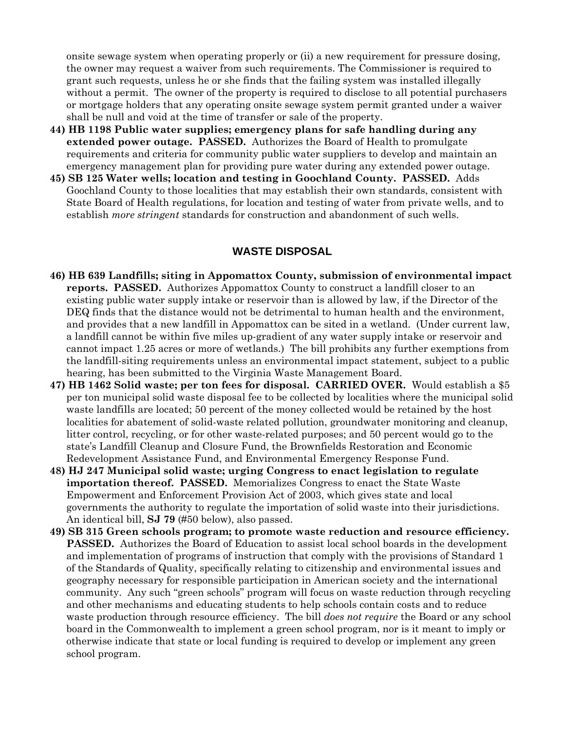onsite sewage system when operating properly or (ii) a new requirement for pressure dosing, the owner may request a waiver from such requirements. The Commissioner is required to grant such requests, unless he or she finds that the failing system was installed illegally without a permit. The owner of the property is required to disclose to all potential purchasers or mortgage holders that any operating onsite sewage system permit granted under a waiver shall be null and void at the time of transfer or sale of the property.

- **44) HB 1198 Public water supplies; emergency plans for safe handling during any extended power outage. PASSED.** Authorizes the Board of Health to promulgate requirements and criteria for community public water suppliers to develop and maintain an emergency management plan for providing pure water during any extended power outage.
- **45) SB 125 Water wells; location and testing in Goochland County. PASSED.** Adds Goochland County to those localities that may establish their own standards, consistent with State Board of Health regulations, for location and testing of water from private wells, and to establish *more stringent* standards for construction and abandonment of such wells.

#### **WASTE DISPOSAL**

- **46) HB 639 Landfills; siting in Appomattox County, submission of environmental impact reports. PASSED.** Authorizes Appomattox County to construct a landfill closer to an existing public water supply intake or reservoir than is allowed by law, if the Director of the DEQ finds that the distance would not be detrimental to human health and the environment, and provides that a new landfill in Appomattox can be sited in a wetland. (Under current law, a landfill cannot be within five miles up-gradient of any water supply intake or reservoir and cannot impact 1.25 acres or more of wetlands.) The bill prohibits any further exemptions from the landfill-siting requirements unless an environmental impact statement, subject to a public hearing, has been submitted to the Virginia Waste Management Board.
- **47) HB 1462 Solid waste; per ton fees for disposal. CARRIED OVER.** Would establish a \$5 per ton municipal solid waste disposal fee to be collected by localities where the municipal solid waste landfills are located; 50 percent of the money collected would be retained by the host localities for abatement of solid-waste related pollution, groundwater monitoring and cleanup, litter control, recycling, or for other waste-related purposes; and 50 percent would go to the state's Landfill Cleanup and Closure Fund, the Brownfields Restoration and Economic Redevelopment Assistance Fund, and Environmental Emergency Response Fund.
- **48) HJ 247 Municipal solid waste; urging Congress to enact legislation to regulate importation thereof. PASSED.** Memorializes Congress to enact the State Waste Empowerment and Enforcement Provision Act of 2003, which gives state and local governments the authority to regulate the importation of solid waste into their jurisdictions. An identical bill, **SJ 79** (#50 below), also passed.
- **49) SB 315 Green schools program; to promote waste reduction and resource efficiency. PASSED.** Authorizes the Board of Education to assist local school boards in the development and implementation of programs of instruction that comply with the provisions of Standard 1 of the Standards of Quality, specifically relating to citizenship and environmental issues and geography necessary for responsible participation in American society and the international community. Any such "green schools" program will focus on waste reduction through recycling and other mechanisms and educating students to help schools contain costs and to reduce waste production through resource efficiency. The bill *does not require* the Board or any school board in the Commonwealth to implement a green school program, nor is it meant to imply or otherwise indicate that state or local funding is required to develop or implement any green school program.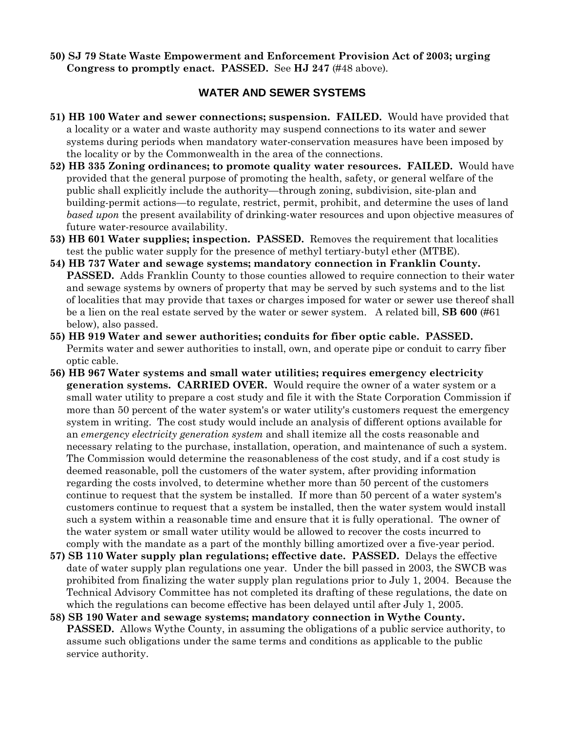**50) SJ 79 State Waste Empowerment and Enforcement Provision Act of 2003; urging Congress to promptly enact. PASSED.** See **HJ 247** (#48 above)*.*

### **WATER AND SEWER SYSTEMS**

- **51) HB 100 Water and sewer connections; suspension. FAILED.** Would have provided that a locality or a water and waste authority may suspend connections to its water and sewer systems during periods when mandatory water-conservation measures have been imposed by the locality or by the Commonwealth in the area of the connections.
- **52) HB 335 Zoning ordinances; to promote quality water resources. FAILED.** Would have provided that the general purpose of promoting the health, safety, or general welfare of the public shall explicitly include the authority—through zoning, subdivision, site-plan and building-permit actions—to regulate, restrict, permit, prohibit, and determine the uses of land *based upon* the present availability of drinking-water resources and upon objective measures of future water-resource availability.
- **53) HB 601 Water supplies; inspection. PASSED.** Removes the requirement that localities test the public water supply for the presence of methyl tertiary-butyl ether (MTBE).
- **54) HB 737 Water and sewage systems; mandatory connection in Franklin County. PASSED.** Adds Franklin County to those counties allowed to require connection to their water and sewage systems by owners of property that may be served by such systems and to the list of localities that may provide that taxes or charges imposed for water or sewer use thereof shall be a lien on the real estate served by the water or sewer system. A related bill, **SB 600** (#61 below), also passed.
- **55) HB 919 Water and sewer authorities; conduits for fiber optic cable. PASSED.**  Permits water and sewer authorities to install, own, and operate pipe or conduit to carry fiber optic cable.
- **56) HB 967 Water systems and small water utilities; requires emergency electricity generation systems. CARRIED OVER.** Would require the owner of a water system or a small water utility to prepare a cost study and file it with the State Corporation Commission if more than 50 percent of the water system's or water utility's customers request the emergency system in writing. The cost study would include an analysis of different options available for an *emergency electricity generation system* and shall itemize all the costs reasonable and necessary relating to the purchase, installation, operation, and maintenance of such a system. The Commission would determine the reasonableness of the cost study, and if a cost study is deemed reasonable, poll the customers of the water system, after providing information regarding the costs involved, to determine whether more than 50 percent of the customers continue to request that the system be installed. If more than 50 percent of a water system's customers continue to request that a system be installed, then the water system would install such a system within a reasonable time and ensure that it is fully operational. The owner of the water system or small water utility would be allowed to recover the costs incurred to comply with the mandate as a part of the monthly billing amortized over a five-year period.
- **57) SB 110 Water supply plan regulations; effective date. PASSED.** Delays the effective date of water supply plan regulations one year. Under the bill passed in 2003, the SWCB was prohibited from finalizing the water supply plan regulations prior to July 1, 2004. Because the Technical Advisory Committee has not completed its drafting of these regulations, the date on which the regulations can become effective has been delayed until after July 1, 2005.
- **58) SB 190 Water and sewage systems; mandatory connection in Wythe County. PASSED.** Allows Wythe County, in assuming the obligations of a public service authority, to assume such obligations under the same terms and conditions as applicable to the public service authority.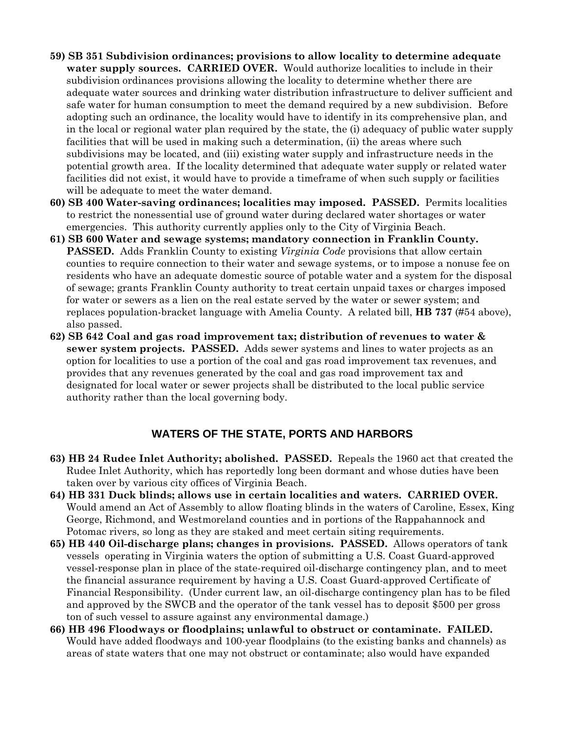- **59) SB 351 Subdivision ordinances; provisions to allow locality to determine adequate water supply sources. CARRIED OVER.** Would authorize localities to include in their subdivision ordinances provisions allowing the locality to determine whether there are adequate water sources and drinking water distribution infrastructure to deliver sufficient and safe water for human consumption to meet the demand required by a new subdivision. Before adopting such an ordinance, the locality would have to identify in its comprehensive plan, and in the local or regional water plan required by the state, the (i) adequacy of public water supply facilities that will be used in making such a determination, (ii) the areas where such subdivisions may be located, and (iii) existing water supply and infrastructure needs in the potential growth area. If the locality determined that adequate water supply or related water facilities did not exist, it would have to provide a timeframe of when such supply or facilities will be adequate to meet the water demand.
- **60) SB 400 Water-saving ordinances; localities may imposed. PASSED.** Permits localities to restrict the nonessential use of ground water during declared water shortages or water emergencies. This authority currently applies only to the City of Virginia Beach.
- **61) SB 600 Water and sewage systems; mandatory connection in Franklin County. PASSED.** Adds Franklin County to existing *Virginia Code* provisions that allow certain counties to require connection to their water and sewage systems, or to impose a nonuse fee on residents who have an adequate domestic source of potable water and a system for the disposal of sewage; grants Franklin County authority to treat certain unpaid taxes or charges imposed for water or sewers as a lien on the real estate served by the water or sewer system; and replaces population-bracket language with Amelia County.A related bill, **HB 737** (#54 above), also passed.
- **62) SB 642 Coal and gas road improvement tax; distribution of revenues to water & sewer system projects. PASSED.** Adds sewer systems and lines to water projects as an option for localities to use a portion of the coal and gas road improvement tax revenues, and provides that any revenues generated by the coal and gas road improvement tax and designated for local water or sewer projects shall be distributed to the local public service authority rather than the local governing body.

### **WATERS OF THE STATE, PORTS AND HARBORS**

- **63) HB 24 Rudee Inlet Authority; abolished. PASSED.** Repeals the 1960 act that created the Rudee Inlet Authority, which has reportedly long been dormant and whose duties have been taken over by various city offices of Virginia Beach.
- **64) HB 331 Duck blinds; allows use in certain localities and waters. CARRIED OVER.**  Would amend an Act of Assembly to allow floating blinds in the waters of Caroline, Essex, King George, Richmond, and Westmoreland counties and in portions of the Rappahannock and Potomac rivers, so long as they are staked and meet certain siting requirements.
- **65) HB 440 Oil-discharge plans; changes in provisions. PASSED.** Allows operators of tank vessels operating in Virginia waters the option of submitting a U.S. Coast Guard-approved vessel-response plan in place of the state-required oil-discharge contingency plan, and to meet the financial assurance requirement by having a U.S. Coast Guard-approved Certificate of Financial Responsibility. (Under current law, an oil-discharge contingency plan has to be filed and approved by the SWCB and the operator of the tank vessel has to deposit \$500 per gross ton of such vessel to assure against any environmental damage.)
- **66) HB 496 Floodways or floodplains; unlawful to obstruct or contaminate. FAILED.**  Would have added floodways and 100-year floodplains (to the existing banks and channels) as areas of state waters that one may not obstruct or contaminate; also would have expanded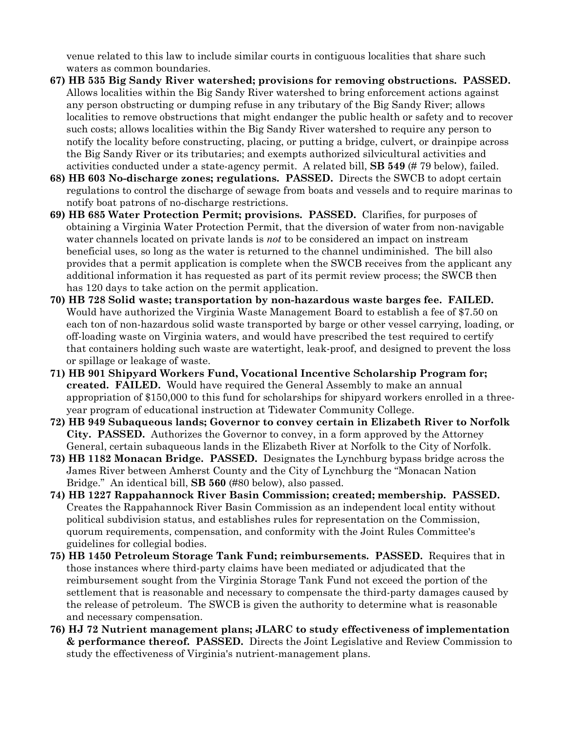venue related to this law to include similar courts in contiguous localities that share such waters as common boundaries.

- **67) HB 535 Big Sandy River watershed; provisions for removing obstructions. PASSED.**  Allows localities within the Big Sandy River watershed to bring enforcement actions against any person obstructing or dumping refuse in any tributary of the Big Sandy River; allows localities to remove obstructions that might endanger the public health or safety and to recover such costs; allows localities within the Big Sandy River watershed to require any person to notify the locality before constructing, placing, or putting a bridge, culvert, or drainpipe across the Big Sandy River or its tributaries; and exempts authorized silvicultural activities and activities conducted under a state-agency permit. A related bill, **SB 549** (# 79 below), failed.
- **68) HB 603 No-discharge zones; regulations. PASSED.** Directs the SWCB to adopt certain regulations to control the discharge of sewage from boats and vessels and to require marinas to notify boat patrons of no-discharge restrictions.
- **69) HB 685 Water Protection Permit; provisions. PASSED.** Clarifies, for purposes of obtaining a Virginia Water Protection Permit, that the diversion of water from non-navigable water channels located on private lands is *not* to be considered an impact on instream beneficial uses, so long as the water is returned to the channel undiminished. The bill also provides that a permit application is complete when the SWCB receives from the applicant any additional information it has requested as part of its permit review process; the SWCB then has 120 days to take action on the permit application.
- **70) HB 728 Solid waste; transportation by non-hazardous waste barges fee. FAILED.**  Would have authorized the Virginia Waste Management Board to establish a fee of \$7.50 on each ton of non-hazardous solid waste transported by barge or other vessel carrying, loading, or off-loading waste on Virginia waters, and would have prescribed the test required to certify that containers holding such waste are watertight, leak-proof, and designed to prevent the loss or spillage or leakage of waste.
- **71) HB 901 Shipyard Workers Fund, Vocational Incentive Scholarship Program for; created. FAILED.** Would have required the General Assembly to make an annual appropriation of \$150,000 to this fund for scholarships for shipyard workers enrolled in a threeyear program of educational instruction at Tidewater Community College.
- **72) HB 949 Subaqueous lands; Governor to convey certain in Elizabeth River to Norfolk City. PASSED.** Authorizes the Governor to convey, in a form approved by the Attorney General, certain subaqueous lands in the Elizabeth River at Norfolk to the City of Norfolk.
- **73) HB 1182 Monacan Bridge. PASSED.** Designates the Lynchburg bypass bridge across the James River between Amherst County and the City of Lynchburg the "Monacan Nation Bridge." An identical bill, **SB 560** (#80 below), also passed.
- **74) HB 1227 Rappahannock River Basin Commission; created; membership. PASSED.**  Creates the Rappahannock River Basin Commission as an independent local entity without political subdivision status, and establishes rules for representation on the Commission, quorum requirements, compensation, and conformity with the Joint Rules Committee's guidelines for collegial bodies.
- **75) HB 1450 Petroleum Storage Tank Fund; reimbursements. PASSED.** Requires that in those instances where third-party claims have been mediated or adjudicated that the reimbursement sought from the Virginia Storage Tank Fund not exceed the portion of the settlement that is reasonable and necessary to compensate the third-party damages caused by the release of petroleum. The SWCB is given the authority to determine what is reasonable and necessary compensation.
- **76) HJ 72 Nutrient management plans; JLARC to study effectiveness of implementation & performance thereof. PASSED.** Directs the Joint Legislative and Review Commission to study the effectiveness of Virginia's nutrient-management plans.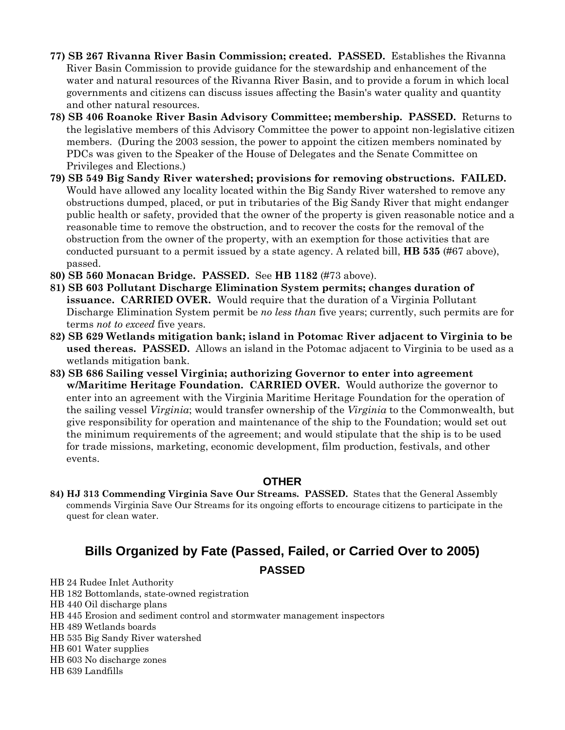- **77) SB 267 Rivanna River Basin Commission; created. PASSED.** Establishes the Rivanna River Basin Commission to provide guidance for the stewardship and enhancement of the water and natural resources of the Rivanna River Basin, and to provide a forum in which local governments and citizens can discuss issues affecting the Basin's water quality and quantity and other natural resources.
- **78) SB 406 Roanoke River Basin Advisory Committee; membership. PASSED.** Returns to the legislative members of this Advisory Committee the power to appoint non-legislative citizen members. (During the 2003 session, the power to appoint the citizen members nominated by PDCs was given to the Speaker of the House of Delegates and the Senate Committee on Privileges and Elections.)
- **79) SB 549 Big Sandy River watershed; provisions for removing obstructions. FAILED.**  Would have allowed any locality located within the Big Sandy River watershed to remove any obstructions dumped, placed, or put in tributaries of the Big Sandy River that might endanger public health or safety, provided that the owner of the property is given reasonable notice and a reasonable time to remove the obstruction, and to recover the costs for the removal of the obstruction from the owner of the property, with an exemption for those activities that are conducted pursuant to a permit issued by a state agency. A related bill, **HB 535** (#67 above), passed.
- **80) SB 560 Monacan Bridge. PASSED.** See **HB 1182** (#73 above).
- **81) SB 603 Pollutant Discharge Elimination System permits; changes duration of issuance. CARRIED OVER.** Would require that the duration of a Virginia Pollutant Discharge Elimination System permit be *no less than* five years; currently, such permits are for terms *not to exceed* five years.
- **82) SB 629 Wetlands mitigation bank; island in Potomac River adjacent to Virginia to be used thereas. PASSED.** Allows an island in the Potomac adjacent to Virginia to be used as a wetlands mitigation bank.
- **83) SB 686 Sailing vessel Virginia; authorizing Governor to enter into agreement w/Maritime Heritage Foundation. CARRIED OVER.** Would authorize the governor to enter into an agreement with the Virginia Maritime Heritage Foundation for the operation of the sailing vessel *Virginia*; would transfer ownership of the *Virginia* to the Commonwealth, but give responsibility for operation and maintenance of the ship to the Foundation; would set out the minimum requirements of the agreement; and would stipulate that the ship is to be used for trade missions, marketing, economic development, film production, festivals, and other events.

#### **OTHER**

**84) HJ 313 Commending Virginia Save Our Streams. PASSED.** States that the General Assembly commends Virginia Save Our Streams for its ongoing efforts to encourage citizens to participate in the quest for clean water.

# **Bills Organized by Fate (Passed, Failed, or Carried Over to 2005) PASSED**

- HB 24 Rudee Inlet Authority
- HB 182 Bottomlands, state-owned registration
- HB 440 Oil discharge plans
- HB 445 Erosion and sediment control and stormwater management inspectors
- HB 489 Wetlands boards
- HB 535 Big Sandy River watershed
- HB 601 Water supplies
- HB 603 No discharge zones
- HB 639 Landfills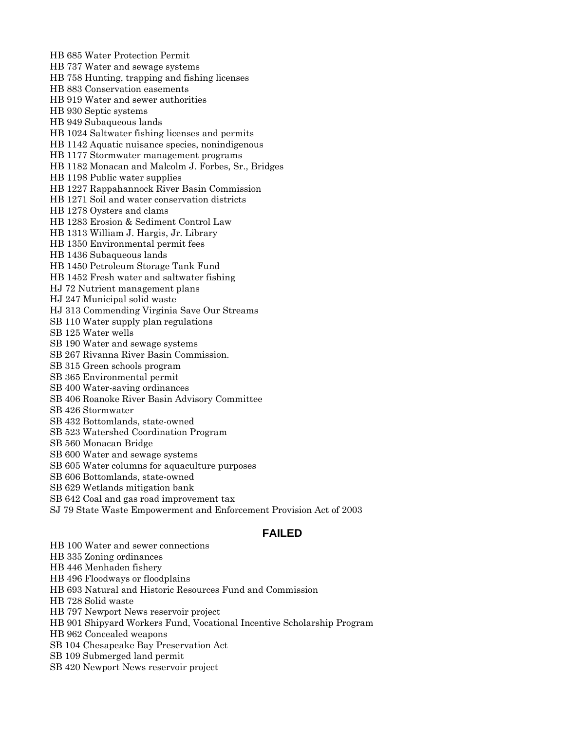HB 685 Water Protection Permit HB 737 Water and sewage systems HB 758 Hunting, trapping and fishing licenses HB 883 Conservation easements HB 919 Water and sewer authorities HB 930 Septic systems HB 949 Subaqueous lands HB 1024 Saltwater fishing licenses and permits HB 1142 Aquatic nuisance species, nonindigenous HB 1177 Stormwater management programs HB 1182 Monacan and Malcolm J. Forbes, Sr., Bridges HB 1198 Public water supplies HB 1227 Rappahannock River Basin Commission HB 1271 Soil and water conservation districts HB 1278 Oysters and clams HB 1283 Erosion & Sediment Control Law HB 1313 William J. Hargis, Jr. Library HB 1350 Environmental permit fees HB 1436 Subaqueous lands HB 1450 Petroleum Storage Tank Fund HB 1452 Fresh water and saltwater fishing HJ 72 Nutrient management plans HJ 247 Municipal solid waste HJ 313 Commending Virginia Save Our Streams SB 110 Water supply plan regulations SB 125 Water wells SB 190 Water and sewage systems SB 267 Rivanna River Basin Commission. SB 315 Green schools program SB 365 Environmental permit SB 400 Water-saving ordinances SB 406 Roanoke River Basin Advisory Committee SB 426 Stormwater SB 432 Bottomlands, state-owned SB 523 Watershed Coordination Program SB 560 Monacan Bridge SB 600 Water and sewage systems SB 605 Water columns for aquaculture purposes SB 606 Bottomlands, state-owned SB 629 Wetlands mitigation bank SB 642 Coal and gas road improvement tax

SJ 79 State Waste Empowerment and Enforcement Provision Act of 2003

#### **FAILED**

HB 100 Water and sewer connections

HB 335 Zoning ordinances

HB 446 Menhaden fishery

HB 496 Floodways or floodplains

HB 693 Natural and Historic Resources Fund and Commission

HB 728 Solid waste

HB 797 Newport News reservoir project

HB 901 Shipyard Workers Fund, Vocational Incentive Scholarship Program

HB 962 Concealed weapons

SB 104 Chesapeake Bay Preservation Act

SB 109 Submerged land permit

SB 420 Newport News reservoir project